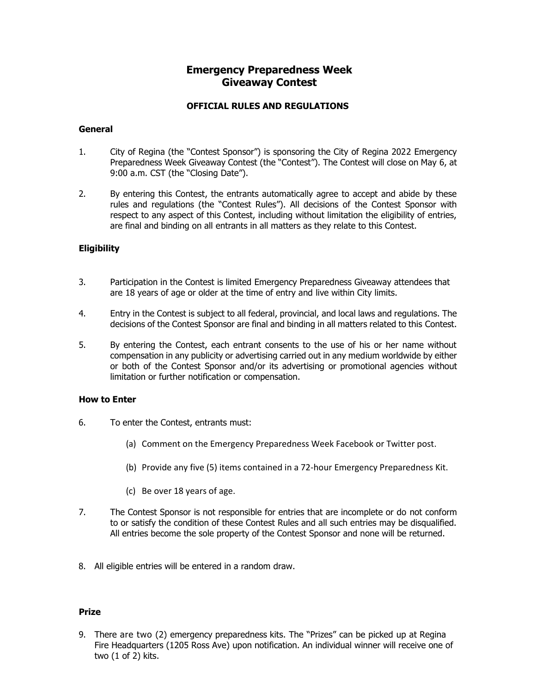## **Emergency Preparedness Week Giveaway Contest**

### **OFFICIAL RULES AND REGULATIONS**

#### **General**

- 1. City of Regina (the "Contest Sponsor") is sponsoring the City of Regina 2022 Emergency Preparedness Week Giveaway Contest (the "Contest"). The Contest will close on May 6, at 9:00 a.m. CST (the "Closing Date").
- 2. By entering this Contest, the entrants automatically agree to accept and abide by these rules and regulations (the "Contest Rules"). All decisions of the Contest Sponsor with respect to any aspect of this Contest, including without limitation the eligibility of entries, are final and binding on all entrants in all matters as they relate to this Contest.

### **Eligibility**

- 3. Participation in the Contest is limited Emergency Preparedness Giveaway attendees that are 18 years of age or older at the time of entry and live within City limits.
- 4. Entry in the Contest is subject to all federal, provincial, and local laws and regulations. The decisions of the Contest Sponsor are final and binding in all matters related to this Contest.
- 5. By entering the Contest, each entrant consents to the use of his or her name without compensation in any publicity or advertising carried out in any medium worldwide by either or both of the Contest Sponsor and/or its advertising or promotional agencies without limitation or further notification or compensation.

#### **How to Enter**

- 6. To enter the Contest, entrants must:
	- (a) Comment on the Emergency Preparedness Week Facebook or Twitter post.
	- (b) Provide any five (5) items contained in a 72-hour Emergency Preparedness Kit.
	- (c) Be over 18 years of age.
- 7. The Contest Sponsor is not responsible for entries that are incomplete or do not conform to or satisfy the condition of these Contest Rules and all such entries may be disqualified. All entries become the sole property of the Contest Sponsor and none will be returned.
- 8. All eligible entries will be entered in a random draw.

#### **Prize**

9. There are two (2) emergency preparedness kits. The "Prizes" can be picked up at Regina Fire Headquarters (1205 Ross Ave) upon notification. An individual winner will receive one of two (1 of 2) kits.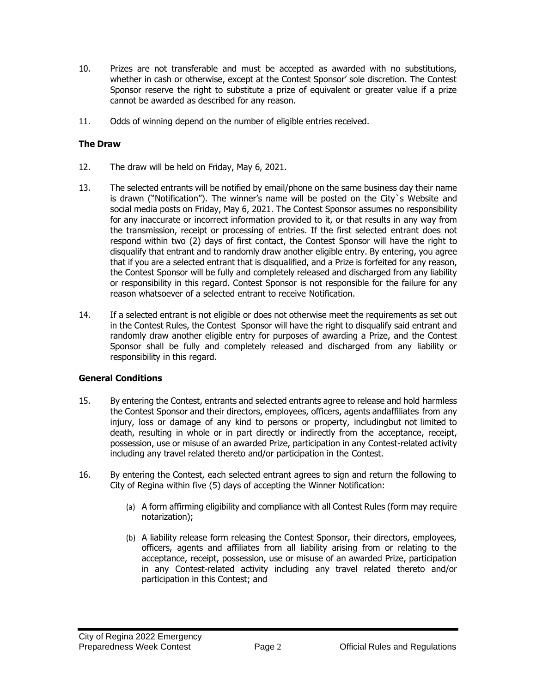- 10. Prizes are not transferable and must be accepted as awarded with no substitutions, whether in cash or otherwise, except at the Contest Sponsor' sole discretion. The Contest Sponsor reserve the right to substitute a prize of equivalent or greater value if a prize cannot be awarded as described for any reason.
- 11. Odds of winning depend on the number of eligible entries received.

## **The Draw**

- 12. The draw will be held on Friday, May 6, 2021.
- 13. The selected entrants will be notified by email/phone on the same business day their name is drawn ("Notification"). The winner's name will be posted on the City`s Website and social media posts on Friday, May 6, 2021. The Contest Sponsor assumes no responsibility for any inaccurate or incorrect information provided to it, or that results in any way from the transmission, receipt or processing of entries. If the first selected entrant does not respond within two (2) days of first contact, the Contest Sponsor will have the right to disqualify that entrant and to randomly draw another eligible entry. By entering, you agree that if you are a selected entrant that is disqualified, and a Prize is forfeited for any reason, the Contest Sponsor will be fully and completely released and discharged from any liability or responsibility in this regard. Contest Sponsor is not responsible for the failure for any reason whatsoever of a selected entrant to receive Notification.
- 14. If a selected entrant is not eligible or does not otherwise meet the requirements as set out in the Contest Rules, the Contest Sponsor will have the right to disqualify said entrant and randomly draw another eligible entry for purposes of awarding a Prize, and the Contest Sponsor shall be fully and completely released and discharged from any liability or responsibility in this regard.

# **General Conditions**

- 15. By entering the Contest, entrants and selected entrants agree to release and hold harmless the Contest Sponsor and their directors, employees, officers, agents andaffiliates from any injury, loss or damage of any kind to persons or property, includingbut not limited to death, resulting in whole or in part directly or indirectly from the acceptance, receipt, possession, use or misuse of an awarded Prize, participation in any Contest-related activity including any travel related thereto and/or participation in the Contest.
- 16. By entering the Contest, each selected entrant agrees to sign and return the following to City of Regina within five (5) days of accepting the Winner Notification:
	- (a) A form affirming eligibility and compliance with all Contest Rules (form may require notarization);
	- (b) A liability release form releasing the Contest Sponsor, their directors, employees, officers, agents and affiliates from all liability arising from or relating to the acceptance, receipt, possession, use or misuse of an awarded Prize, participation in any Contest-related activity including any travel related thereto and/or participation in this Contest; and